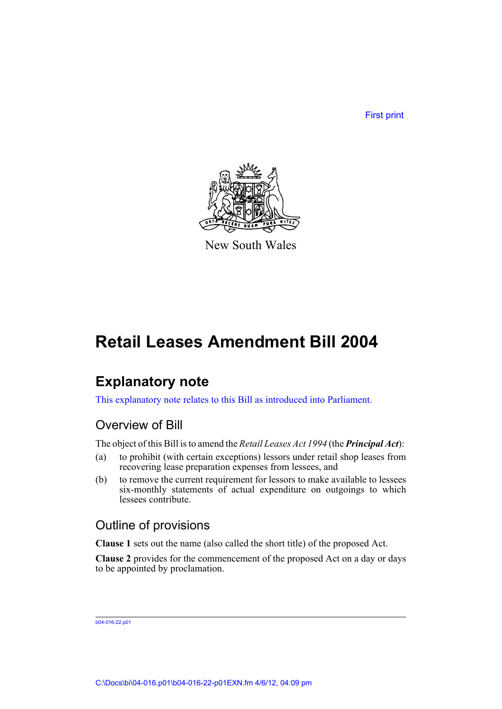First print



New South Wales

## **Retail Leases Amendment Bill 2004**

## **Explanatory note**

This explanatory note relates to this Bill as introduced into Parliament.

#### Overview of Bill

The object of this Bill is to amend the *Retail Leases Act 1994* (the *Principal Act*):

- (a) to prohibit (with certain exceptions) lessors under retail shop leases from recovering lease preparation expenses from lessees, and
- (b) to remove the current requirement for lessors to make available to lessees six-monthly statements of actual expenditure on outgoings to which lessees contribute.

#### Outline of provisions

**Clause 1** sets out the name (also called the short title) of the proposed Act.

**Clause 2** provides for the commencement of the proposed Act on a day or days to be appointed by proclamation.

b04-016-22.p01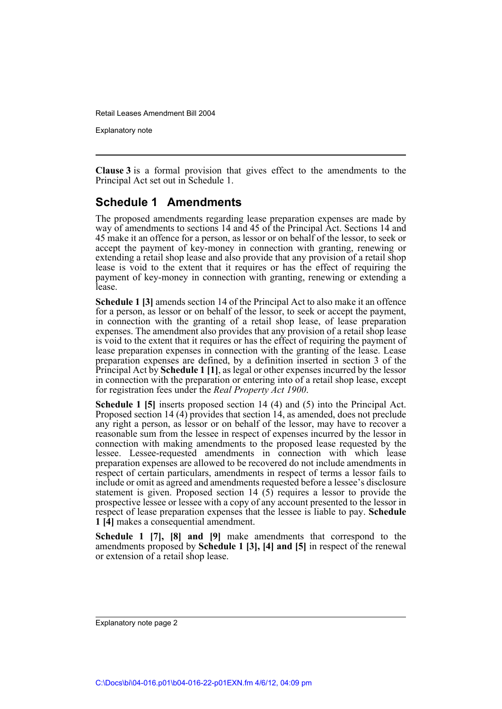Explanatory note

**Clause 3** is a formal provision that gives effect to the amendments to the Principal Act set out in Schedule 1.

#### **Schedule 1 Amendments**

The proposed amendments regarding lease preparation expenses are made by way of amendments to sections 14 and 45 of the Principal Act. Sections 14 and 45 make it an offence for a person, as lessor or on behalf of the lessor, to seek or accept the payment of key-money in connection with granting, renewing or extending a retail shop lease and also provide that any provision of a retail shop lease is void to the extent that it requires or has the effect of requiring the payment of key-money in connection with granting, renewing or extending a lease.

**Schedule 1 [3]** amends section 14 of the Principal Act to also make it an offence for a person, as lessor or on behalf of the lessor, to seek or accept the payment, in connection with the granting of a retail shop lease, of lease preparation expenses. The amendment also provides that any provision of a retail shop lease is void to the extent that it requires or has the effect of requiring the payment of lease preparation expenses in connection with the granting of the lease. Lease preparation expenses are defined, by a definition inserted in section 3 of the Principal Act by **Schedule 1 [1]**, as legal or other expenses incurred by the lessor in connection with the preparation or entering into of a retail shop lease, except for registration fees under the *Real Property Act 1900*.

**Schedule 1 [5]** inserts proposed section 14 (4) and (5) into the Principal Act. Proposed section 14 (4) provides that section 14, as amended, does not preclude any right a person, as lessor or on behalf of the lessor, may have to recover a reasonable sum from the lessee in respect of expenses incurred by the lessor in connection with making amendments to the proposed lease requested by the lessee. Lessee-requested amendments in connection with which lease preparation expenses are allowed to be recovered do not include amendments in respect of certain particulars, amendments in respect of terms a lessor fails to include or omit as agreed and amendments requested before a lessee's disclosure statement is given. Proposed section 14  $(5)$  requires a lessor to provide the prospective lessee or lessee with a copy of any account presented to the lessor in respect of lease preparation expenses that the lessee is liable to pay. **Schedule 1 [4]** makes a consequential amendment.

**Schedule 1 [7], [8] and [9]** make amendments that correspond to the amendments proposed by **Schedule 1 [3], [4] and [5]** in respect of the renewal or extension of a retail shop lease.

Explanatory note page 2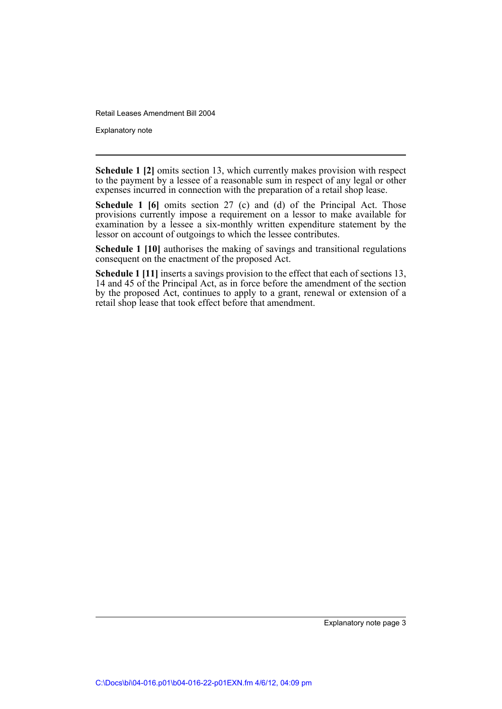Explanatory note

**Schedule 1 [2]** omits section 13, which currently makes provision with respect to the payment by a lessee of a reasonable sum in respect of any legal or other expenses incurred in connection with the preparation of a retail shop lease.

**Schedule 1 [6]** omits section 27 (c) and (d) of the Principal Act. Those provisions currently impose a requirement on a lessor to make available for examination by a lessee a six-monthly written expenditure statement by the lessor on account of outgoings to which the lessee contributes.

**Schedule 1 [10]** authorises the making of savings and transitional regulations consequent on the enactment of the proposed Act.

**Schedule 1 [11]** inserts a savings provision to the effect that each of sections 13, 14 and 45 of the Principal Act, as in force before the amendment of the section by the proposed Act, continues to apply to a grant, renewal or extension of a retail shop lease that took effect before that amendment.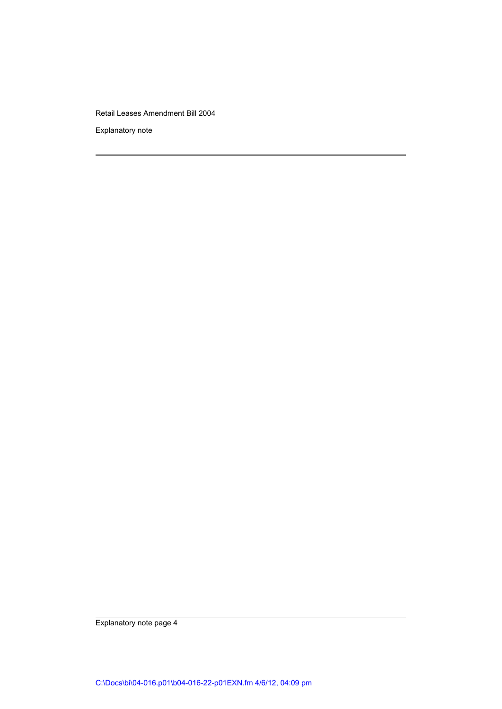Explanatory note

Explanatory note page 4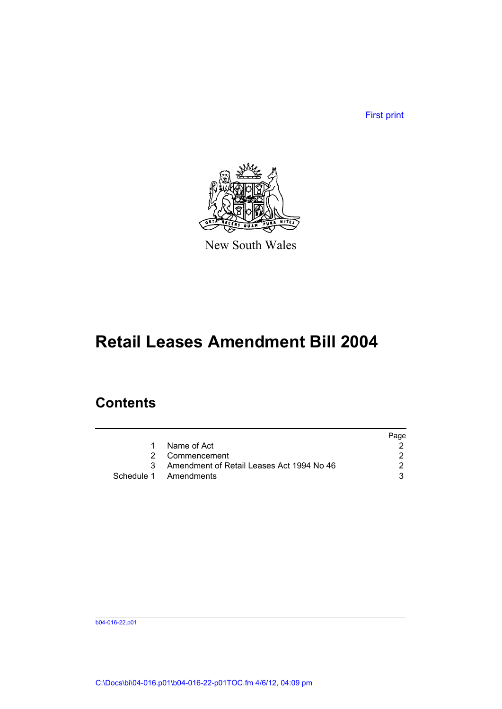First print



New South Wales

# **Retail Leases Amendment Bill 2004**

### **Contents**

|   |                                             | Page |
|---|---------------------------------------------|------|
| 1 | Name of Act                                 |      |
|   | 2 Commencement                              |      |
|   | 3 Amendment of Retail Leases Act 1994 No 46 |      |
|   | Schedule 1 Amendments                       | 3    |

b04-016-22.p01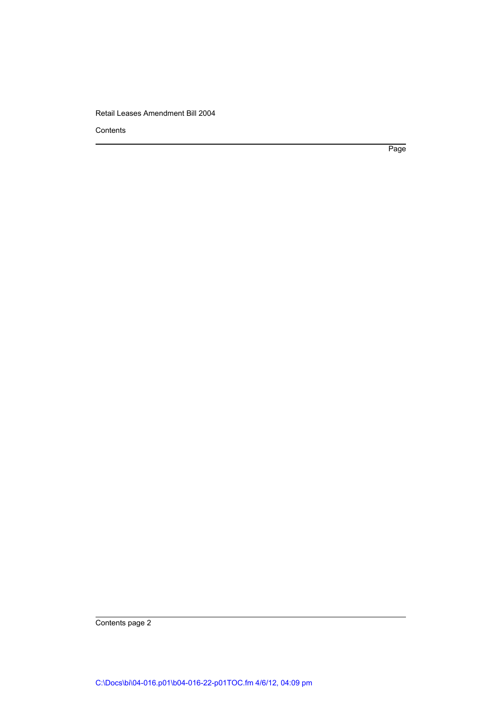**Contents** 

Page

Contents page 2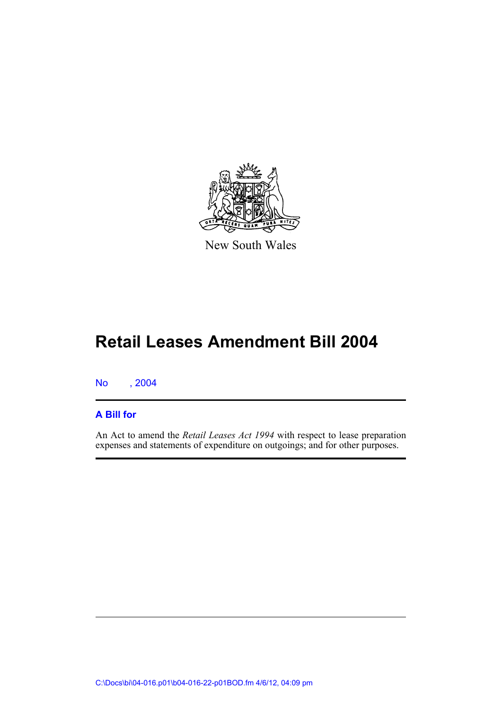

New South Wales

## **Retail Leases Amendment Bill 2004**

No , 2004

#### **A Bill for**

An Act to amend the *Retail Leases Act 1994* with respect to lease preparation expenses and statements of expenditure on outgoings; and for other purposes.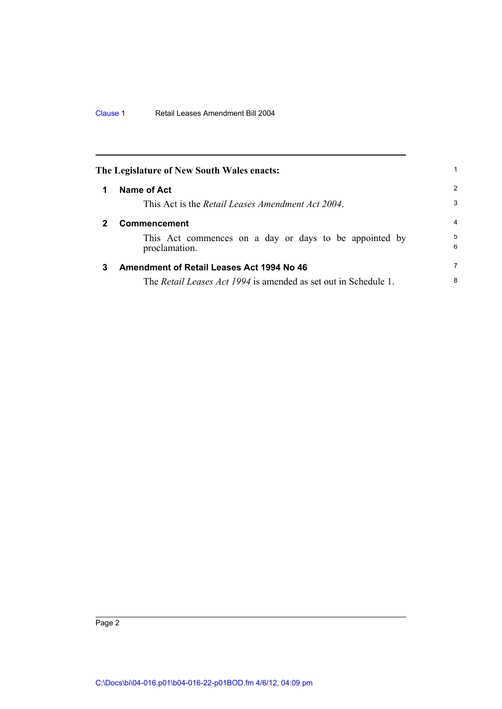<span id="page-7-2"></span><span id="page-7-1"></span><span id="page-7-0"></span>

| The Legislature of New South Wales enacts: |                                                                                                                     |             |
|--------------------------------------------|---------------------------------------------------------------------------------------------------------------------|-------------|
| 1                                          | Name of Act<br>This Act is the <i>Retail Leases Amendment Act 2004</i> .                                            | 2<br>3      |
| 2                                          | Commencement<br>This Act commences on a day or days to be appointed by<br>proclamation.                             | 4<br>5<br>6 |
| 3                                          | Amendment of Retail Leases Act 1994 No 46<br>The <i>Retail Leases Act 1994</i> is amended as set out in Schedule 1. | 7<br>8      |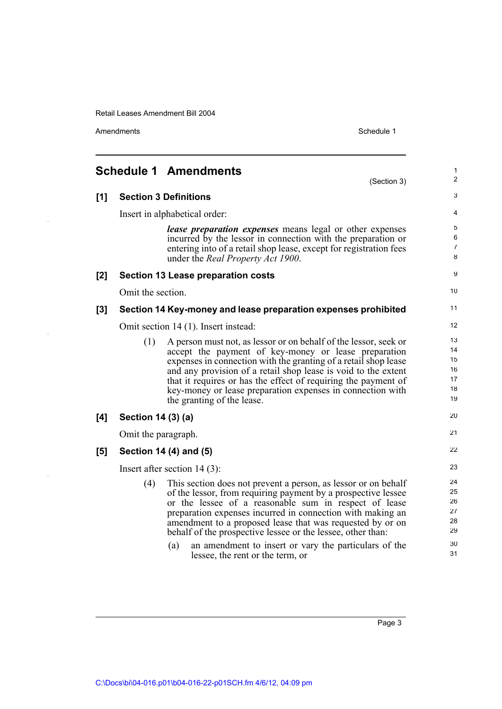Amendments Schedule 1

l.

l.

<span id="page-8-0"></span>

|       |                     | <b>Schedule 1 Amendments</b>                                                                                                                                                                                                                                                                                                                                                                                                                                                           | $\mathbf{1}$                                 |
|-------|---------------------|----------------------------------------------------------------------------------------------------------------------------------------------------------------------------------------------------------------------------------------------------------------------------------------------------------------------------------------------------------------------------------------------------------------------------------------------------------------------------------------|----------------------------------------------|
|       |                     | (Section 3)                                                                                                                                                                                                                                                                                                                                                                                                                                                                            | 2                                            |
| [1]   |                     | <b>Section 3 Definitions</b>                                                                                                                                                                                                                                                                                                                                                                                                                                                           | 3                                            |
|       |                     | Insert in alphabetical order:                                                                                                                                                                                                                                                                                                                                                                                                                                                          | 4                                            |
|       |                     | <i>lease preparation expenses</i> means legal or other expenses<br>incurred by the lessor in connection with the preparation or<br>entering into of a retail shop lease, except for registration fees<br>under the <i>Real Property Act 1900</i> .                                                                                                                                                                                                                                     | 5<br>6<br>$\overline{7}$<br>8                |
| [2]   |                     | <b>Section 13 Lease preparation costs</b>                                                                                                                                                                                                                                                                                                                                                                                                                                              | 9                                            |
|       | Omit the section.   |                                                                                                                                                                                                                                                                                                                                                                                                                                                                                        | 10                                           |
| $[3]$ |                     | Section 14 Key-money and lease preparation expenses prohibited                                                                                                                                                                                                                                                                                                                                                                                                                         | 11                                           |
|       |                     | Omit section 14 (1). Insert instead:                                                                                                                                                                                                                                                                                                                                                                                                                                                   | 12                                           |
|       | (1)                 | A person must not, as lessor or on behalf of the lessor, seek or<br>accept the payment of key-money or lease preparation<br>expenses in connection with the granting of a retail shop lease<br>and any provision of a retail shop lease is void to the extent<br>that it requires or has the effect of requiring the payment of<br>key-money or lease preparation expenses in connection with<br>the granting of the lease.                                                            | 13<br>14<br>15<br>16<br>17<br>18<br>19       |
| [4]   | Section 14 (3) (a)  |                                                                                                                                                                                                                                                                                                                                                                                                                                                                                        | 20                                           |
|       | Omit the paragraph. |                                                                                                                                                                                                                                                                                                                                                                                                                                                                                        | 21                                           |
| [5]   |                     | Section 14 (4) and (5)                                                                                                                                                                                                                                                                                                                                                                                                                                                                 | 22                                           |
|       |                     | Insert after section $14(3)$ :                                                                                                                                                                                                                                                                                                                                                                                                                                                         | 23                                           |
|       | (4)                 | This section does not prevent a person, as lessor or on behalf<br>of the lessor, from requiring payment by a prospective lessee<br>or the lessee of a reasonable sum in respect of lease<br>preparation expenses incurred in connection with making an<br>amendment to a proposed lease that was requested by or on<br>behalf of the prospective lessee or the lessee, other than:<br>an amendment to insert or vary the particulars of the<br>(a)<br>lessee, the rent or the term, or | 24<br>25<br>26<br>27<br>28<br>29<br>30<br>31 |

Page 3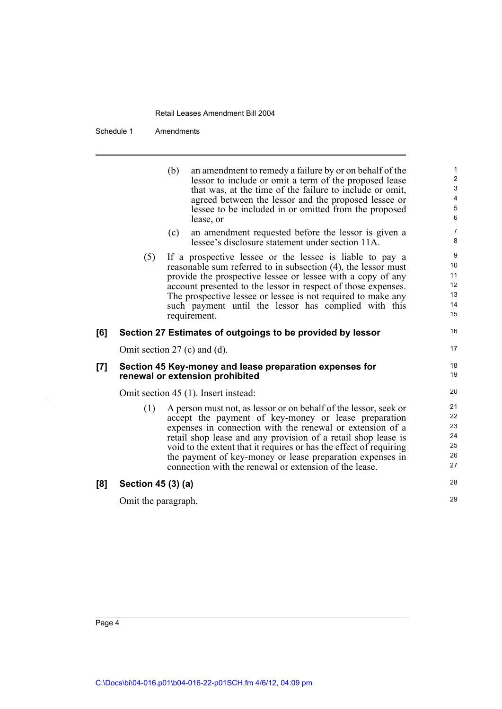Schedule 1 Amendments

|     |                     | (b)<br>an amendment to remedy a failure by or on behalf of the<br>lessor to include or omit a term of the proposed lease<br>that was, at the time of the failure to include or omit,<br>agreed between the lessor and the proposed lessee or<br>lessee to be included in or omitted from the proposed<br>lease, or<br>an amendment requested before the lessor is given a<br>(c)<br>lessee's disclosure statement under section 11A.                | $\mathbf{1}$<br>$\overline{c}$<br>3<br>$\overline{4}$<br>5<br>6<br>$\overline{7}$<br>8 |
|-----|---------------------|-----------------------------------------------------------------------------------------------------------------------------------------------------------------------------------------------------------------------------------------------------------------------------------------------------------------------------------------------------------------------------------------------------------------------------------------------------|----------------------------------------------------------------------------------------|
|     | (5)                 | If a prospective lessee or the lessee is liable to pay a<br>reasonable sum referred to in subsection (4), the lessor must<br>provide the prospective lessee or lessee with a copy of any<br>account presented to the lessor in respect of those expenses.<br>The prospective lessee or lessee is not required to make any<br>such payment until the lessor has complied with this<br>requirement.                                                   | 9<br>10<br>11<br>12<br>13<br>14<br>15                                                  |
| [6] |                     | Section 27 Estimates of outgoings to be provided by lessor                                                                                                                                                                                                                                                                                                                                                                                          | 16                                                                                     |
|     |                     | Omit section $27$ (c) and (d).                                                                                                                                                                                                                                                                                                                                                                                                                      | 17                                                                                     |
| [7] |                     | Section 45 Key-money and lease preparation expenses for<br>renewal or extension prohibited                                                                                                                                                                                                                                                                                                                                                          | 18<br>19                                                                               |
|     |                     | Omit section 45 (1). Insert instead:                                                                                                                                                                                                                                                                                                                                                                                                                | 20                                                                                     |
|     | (1)                 | A person must not, as lessor or on behalf of the lessor, seek or<br>accept the payment of key-money or lease preparation<br>expenses in connection with the renewal or extension of a<br>retail shop lease and any provision of a retail shop lease is<br>void to the extent that it requires or has the effect of requiring<br>the payment of key-money or lease preparation expenses in<br>connection with the renewal or extension of the lease. | 21<br>22<br>23<br>24<br>25<br>26<br>27                                                 |
| [8] | Section 45 (3) (a)  |                                                                                                                                                                                                                                                                                                                                                                                                                                                     | 28                                                                                     |
|     | Omit the paragraph. |                                                                                                                                                                                                                                                                                                                                                                                                                                                     | 29                                                                                     |
|     |                     |                                                                                                                                                                                                                                                                                                                                                                                                                                                     |                                                                                        |

**[8]**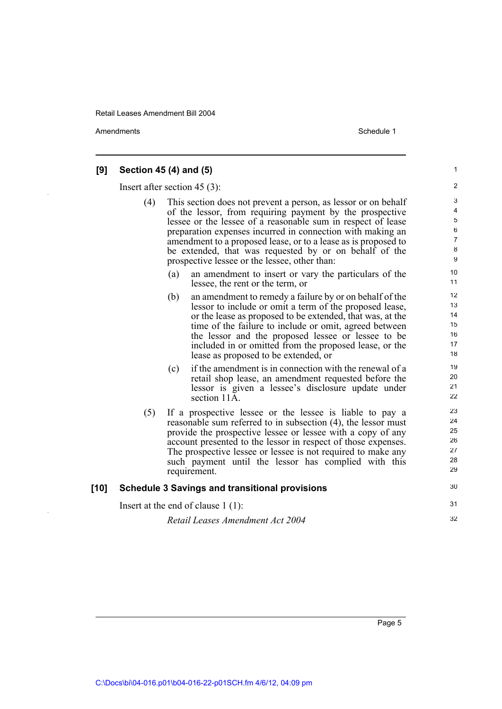Amendments **Schedule 1** Schedule 1

#### **[9] Section 45 (4) and (5)** Insert after section 45 (3): (4) This section does not prevent a person, as lessor or on behalf of the lessor, from requiring payment by the prospective lessee or the lessee of a reasonable sum in respect of lease preparation expenses incurred in connection with making an amendment to a proposed lease, or to a lease as is proposed to be extended, that was requested by or on behalf of the prospective lessee or the lessee, other than: (a) an amendment to insert or vary the particulars of the lessee, the rent or the term, or (b) an amendment to remedy a failure by or on behalf of the lessor to include or omit a term of the proposed lease, or the lease as proposed to be extended, that was, at the time of the failure to include or omit, agreed between the lessor and the proposed lessee or lessee to be included in or omitted from the proposed lease, or the lease as proposed to be extended, or (c) if the amendment is in connection with the renewal of a retail shop lease, an amendment requested before the lessor is given a lessee's disclosure update under section 11A. (5) If a prospective lessee or the lessee is liable to pay a reasonable sum referred to in subsection (4), the lessor must provide the prospective lessee or lessee with a copy of any account presented to the lessor in respect of those expenses. The prospective lessee or lessee is not required to make any such payment until the lessor has complied with this requirement. **[10] Schedule 3 Savings and transitional provisions** Insert at the end of clause 1 (1): *Retail Leases Amendment Act 2004* 1  $\overline{2}$ 3 4 5 6 7 8 9 10 11 12 13 14 15 16 17 18 19 20 21 22 23 24 25 26 27 28 29 30 31 32

Page 5